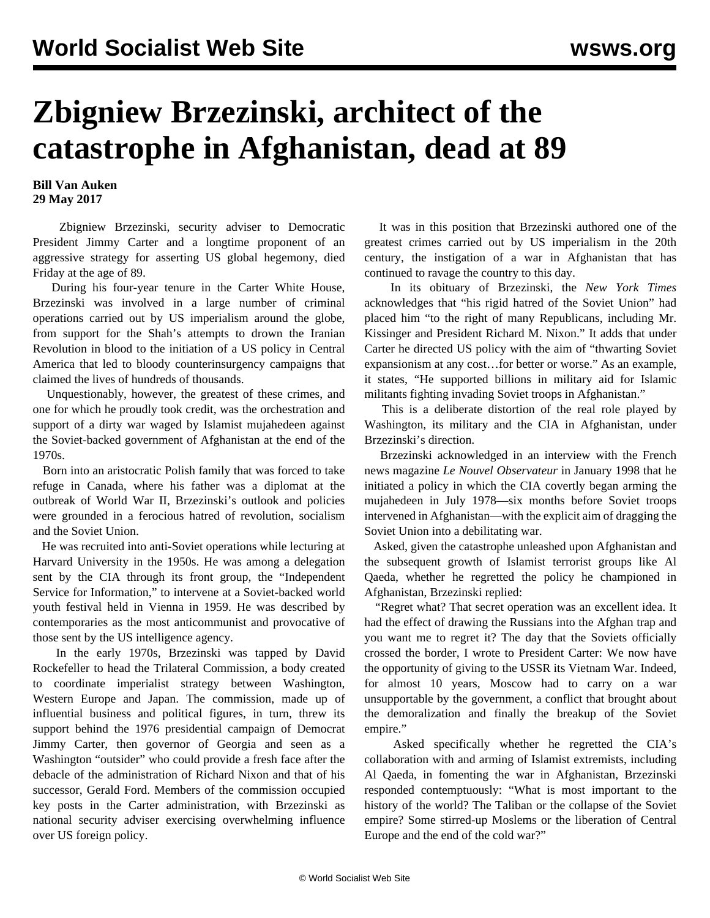## **Zbigniew Brzezinski, architect of the catastrophe in Afghanistan, dead at 89**

## **Bill Van Auken 29 May 2017**

 Zbigniew Brzezinski, security adviser to Democratic President Jimmy Carter and a longtime proponent of an aggressive strategy for asserting US global hegemony, died Friday at the age of 89.

 During his four-year tenure in the Carter White House, Brzezinski was involved in a large number of criminal operations carried out by US imperialism around the globe, from support for the Shah's attempts to drown the Iranian Revolution in blood to the initiation of a US policy in Central America that led to bloody counterinsurgency campaigns that claimed the lives of hundreds of thousands.

 Unquestionably, however, the greatest of these crimes, and one for which he proudly took credit, was the orchestration and support of a dirty war waged by Islamist mujahedeen against the Soviet-backed government of Afghanistan at the end of the 1970s.

 Born into an aristocratic Polish family that was forced to take refuge in Canada, where his father was a diplomat at the outbreak of World War II, Brzezinski's outlook and policies were grounded in a ferocious hatred of revolution, socialism and the Soviet Union.

 He was recruited into anti-Soviet operations while lecturing at Harvard University in the 1950s. He was among a delegation sent by the CIA through its front group, the "Independent Service for Information," to intervene at a Soviet-backed world youth festival held in Vienna in 1959. He was described by contemporaries as the most anticommunist and provocative of those sent by the US intelligence agency.

 In the early 1970s, Brzezinski was tapped by David Rockefeller to head the Trilateral Commission, a body created to coordinate imperialist strategy between Washington, Western Europe and Japan. The commission, made up of influential business and political figures, in turn, threw its support behind the 1976 presidential campaign of Democrat Jimmy Carter, then governor of Georgia and seen as a Washington "outsider" who could provide a fresh face after the debacle of the administration of Richard Nixon and that of his successor, Gerald Ford. Members of the commission occupied key posts in the Carter administration, with Brzezinski as national security adviser exercising overwhelming influence over US foreign policy.

 It was in this position that Brzezinski authored one of the greatest crimes carried out by US imperialism in the 20th century, the instigation of a war in Afghanistan that has continued to ravage the country to this day.

 In its obituary of Brzezinski, the *New York Times* acknowledges that "his rigid hatred of the Soviet Union" had placed him "to the right of many Republicans, including Mr. Kissinger and President Richard M. Nixon." It adds that under Carter he directed US policy with the aim of "thwarting Soviet expansionism at any cost…for better or worse." As an example, it states, "He supported billions in military aid for Islamic militants fighting invading Soviet troops in Afghanistan."

 This is a deliberate distortion of the real role played by Washington, its military and the CIA in Afghanistan, under Brzezinski's direction.

 Brzezinski acknowledged in an interview with the French news magazine *Le Nouvel Observateur* in January 1998 that he initiated a policy in which the CIA covertly began arming the mujahedeen in July 1978—six months before Soviet troops intervened in Afghanistan—with the explicit aim of dragging the Soviet Union into a debilitating war.

 Asked, given the catastrophe unleashed upon Afghanistan and the subsequent growth of Islamist terrorist groups like Al Qaeda, whether he regretted the policy he championed in Afghanistan, Brzezinski replied:

 "Regret what? That secret operation was an excellent idea. It had the effect of drawing the Russians into the Afghan trap and you want me to regret it? The day that the Soviets officially crossed the border, I wrote to President Carter: We now have the opportunity of giving to the USSR its Vietnam War. Indeed, for almost 10 years, Moscow had to carry on a war unsupportable by the government, a conflict that brought about the demoralization and finally the breakup of the Soviet empire."

 Asked specifically whether he regretted the CIA's collaboration with and arming of Islamist extremists, including Al Qaeda, in fomenting the war in Afghanistan, Brzezinski responded contemptuously: "What is most important to the history of the world? The Taliban or the collapse of the Soviet empire? Some stirred-up Moslems or the liberation of Central Europe and the end of the cold war?"